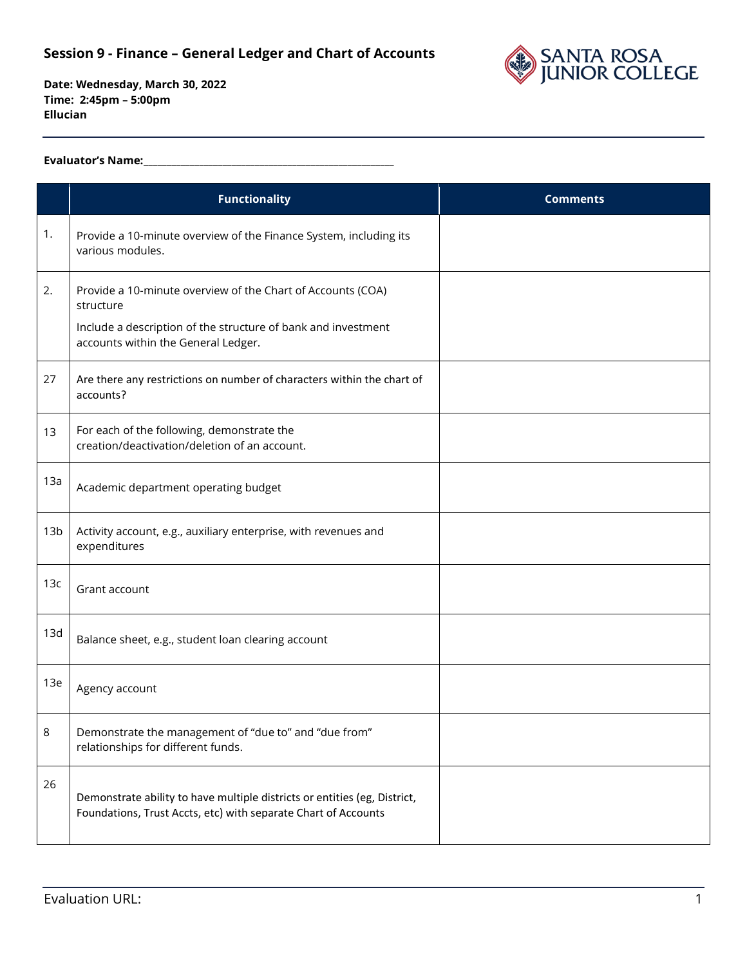

**Date: Wednesday, March 30, 2022 Time: 2:45pm – 5:00pm Ellucian**

#### **Evaluator's Name:\_\_\_\_\_\_\_\_\_\_\_\_\_\_\_\_\_\_\_\_\_\_\_\_\_\_\_\_\_\_\_\_\_\_\_\_\_\_\_\_\_\_\_\_\_\_\_\_\_\_\_\_\_\_**

|                 | <b>Functionality</b>                                                                                                                        | <b>Comments</b> |
|-----------------|---------------------------------------------------------------------------------------------------------------------------------------------|-----------------|
| 1.              | Provide a 10-minute overview of the Finance System, including its<br>various modules.                                                       |                 |
| 2.              | Provide a 10-minute overview of the Chart of Accounts (COA)<br>structure                                                                    |                 |
|                 | Include a description of the structure of bank and investment<br>accounts within the General Ledger.                                        |                 |
| 27              | Are there any restrictions on number of characters within the chart of<br>accounts?                                                         |                 |
| 13              | For each of the following, demonstrate the<br>creation/deactivation/deletion of an account.                                                 |                 |
| 13a             | Academic department operating budget                                                                                                        |                 |
| 13 <sub>b</sub> | Activity account, e.g., auxiliary enterprise, with revenues and<br>expenditures                                                             |                 |
| 13c             | Grant account                                                                                                                               |                 |
| 13d             | Balance sheet, e.g., student loan clearing account                                                                                          |                 |
| 13e             | Agency account                                                                                                                              |                 |
| 8               | Demonstrate the management of "due to" and "due from"<br>relationships for different funds.                                                 |                 |
| 26              | Demonstrate ability to have multiple districts or entities (eg, District,<br>Foundations, Trust Accts, etc) with separate Chart of Accounts |                 |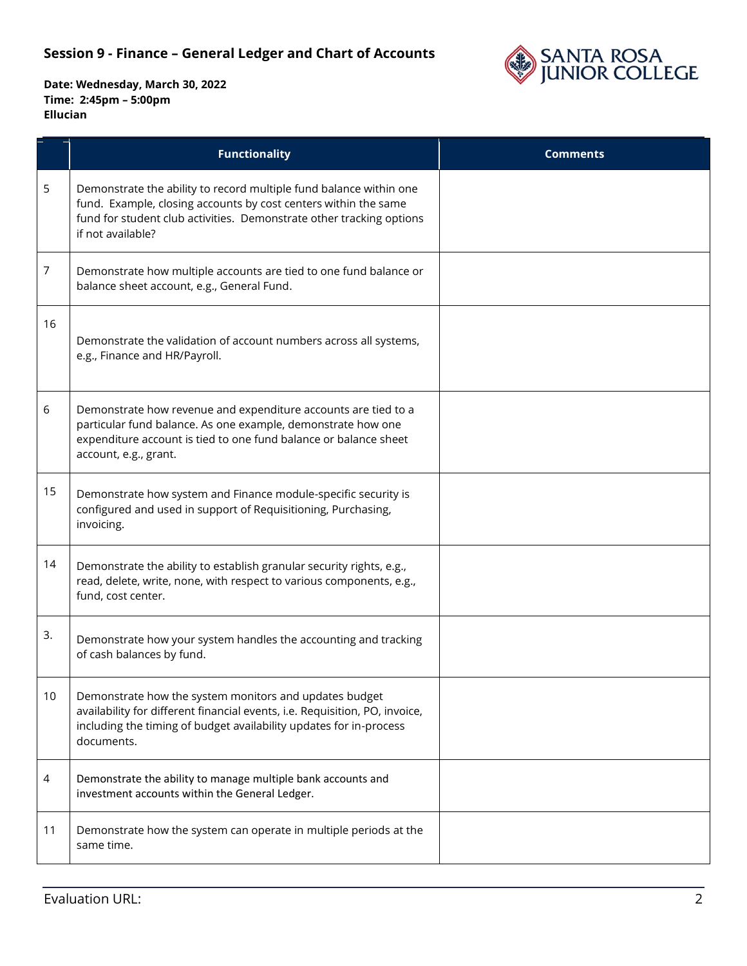

|    | <b>Functionality</b>                                                                                                                                                                                                               | <b>Comments</b> |
|----|------------------------------------------------------------------------------------------------------------------------------------------------------------------------------------------------------------------------------------|-----------------|
| 5  | Demonstrate the ability to record multiple fund balance within one<br>fund. Example, closing accounts by cost centers within the same<br>fund for student club activities. Demonstrate other tracking options<br>if not available? |                 |
| 7  | Demonstrate how multiple accounts are tied to one fund balance or<br>balance sheet account, e.g., General Fund.                                                                                                                    |                 |
| 16 | Demonstrate the validation of account numbers across all systems,<br>e.g., Finance and HR/Payroll.                                                                                                                                 |                 |
| 6  | Demonstrate how revenue and expenditure accounts are tied to a<br>particular fund balance. As one example, demonstrate how one<br>expenditure account is tied to one fund balance or balance sheet<br>account, e.g., grant.        |                 |
| 15 | Demonstrate how system and Finance module-specific security is<br>configured and used in support of Requisitioning, Purchasing,<br>invoicing.                                                                                      |                 |
| 14 | Demonstrate the ability to establish granular security rights, e.g.,<br>read, delete, write, none, with respect to various components, e.g.,<br>fund, cost center.                                                                 |                 |
| 3. | Demonstrate how your system handles the accounting and tracking<br>of cash balances by fund.                                                                                                                                       |                 |
| 10 | Demonstrate how the system monitors and updates budget<br>availability for different financial events, i.e. Requisition, PO, invoice,<br>including the timing of budget availability updates for in-process<br>documents.          |                 |
| 4  | Demonstrate the ability to manage multiple bank accounts and<br>investment accounts within the General Ledger.                                                                                                                     |                 |
| 11 | Demonstrate how the system can operate in multiple periods at the<br>same time.                                                                                                                                                    |                 |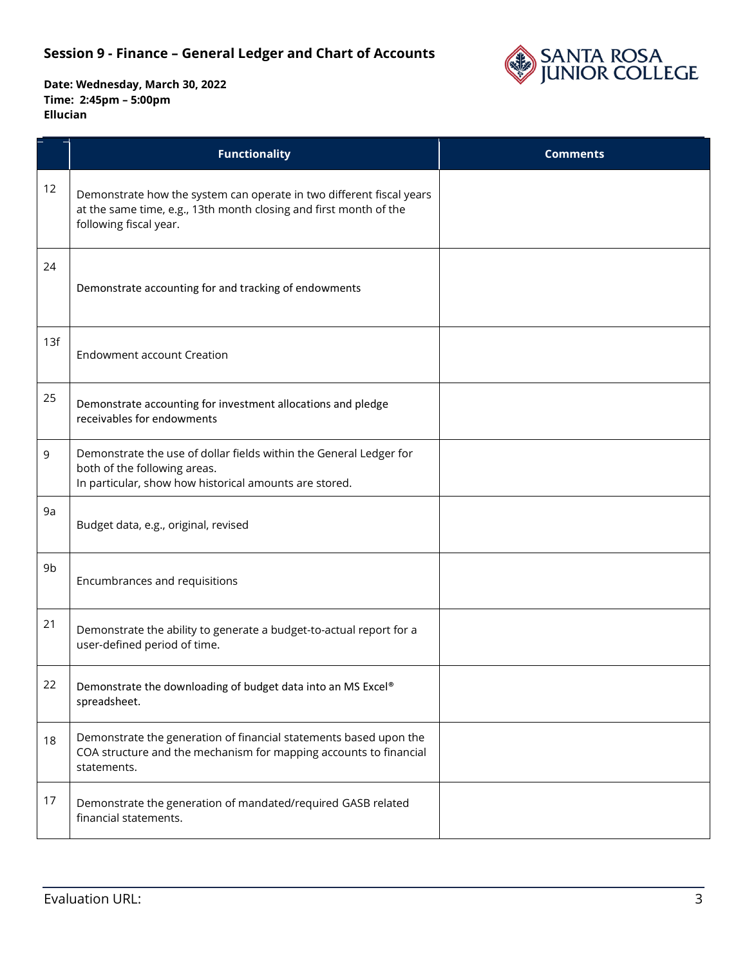

|     | <b>Functionality</b>                                                                                                                                                | <b>Comments</b> |
|-----|---------------------------------------------------------------------------------------------------------------------------------------------------------------------|-----------------|
| 12  | Demonstrate how the system can operate in two different fiscal years<br>at the same time, e.g., 13th month closing and first month of the<br>following fiscal year. |                 |
| 24  | Demonstrate accounting for and tracking of endowments                                                                                                               |                 |
| 13f | <b>Endowment account Creation</b>                                                                                                                                   |                 |
| 25  | Demonstrate accounting for investment allocations and pledge<br>receivables for endowments                                                                          |                 |
| 9   | Demonstrate the use of dollar fields within the General Ledger for<br>both of the following areas.<br>In particular, show how historical amounts are stored.        |                 |
| 9a  | Budget data, e.g., original, revised                                                                                                                                |                 |
| 9b  | Encumbrances and requisitions                                                                                                                                       |                 |
| 21  | Demonstrate the ability to generate a budget-to-actual report for a<br>user-defined period of time.                                                                 |                 |
| 22  | Demonstrate the downloading of budget data into an MS Excel®<br>spreadsheet.                                                                                        |                 |
| 18  | Demonstrate the generation of financial statements based upon the<br>COA structure and the mechanism for mapping accounts to financial<br>statements.               |                 |
| 17  | Demonstrate the generation of mandated/required GASB related<br>financial statements.                                                                               |                 |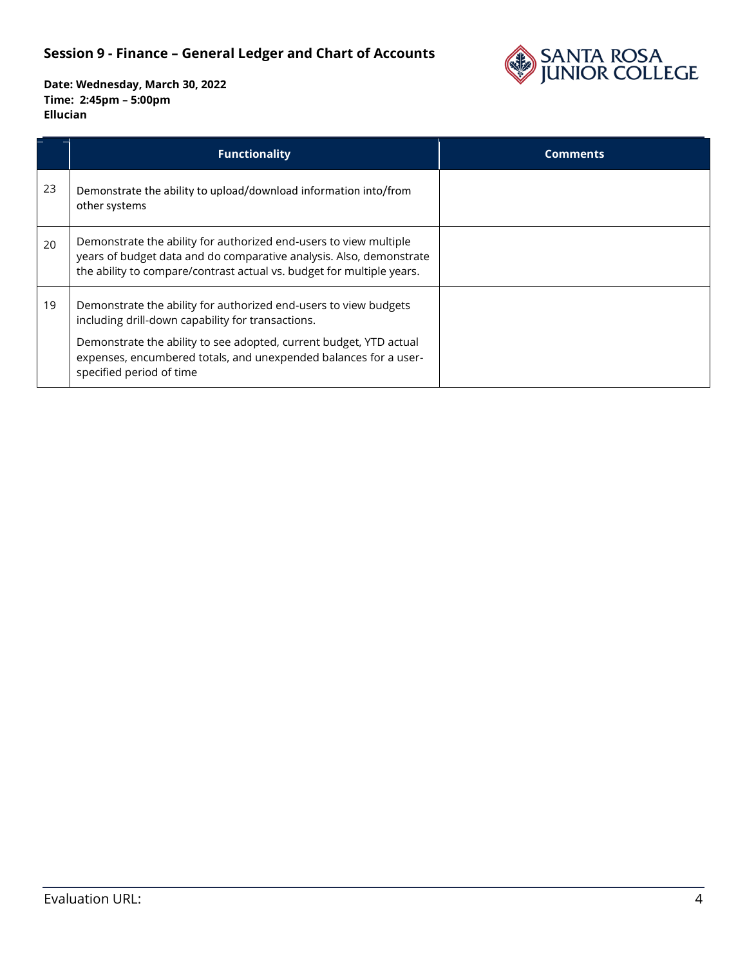

|    | <b>Functionality</b>                                                                                                                                                                                              | <b>Comments</b> |
|----|-------------------------------------------------------------------------------------------------------------------------------------------------------------------------------------------------------------------|-----------------|
| 23 | Demonstrate the ability to upload/download information into/from<br>other systems                                                                                                                                 |                 |
| 20 | Demonstrate the ability for authorized end-users to view multiple<br>years of budget data and do comparative analysis. Also, demonstrate<br>the ability to compare/contrast actual vs. budget for multiple years. |                 |
| 19 | Demonstrate the ability for authorized end-users to view budgets<br>including drill-down capability for transactions.                                                                                             |                 |
|    | Demonstrate the ability to see adopted, current budget, YTD actual<br>expenses, encumbered totals, and unexpended balances for a user-<br>specified period of time                                                |                 |